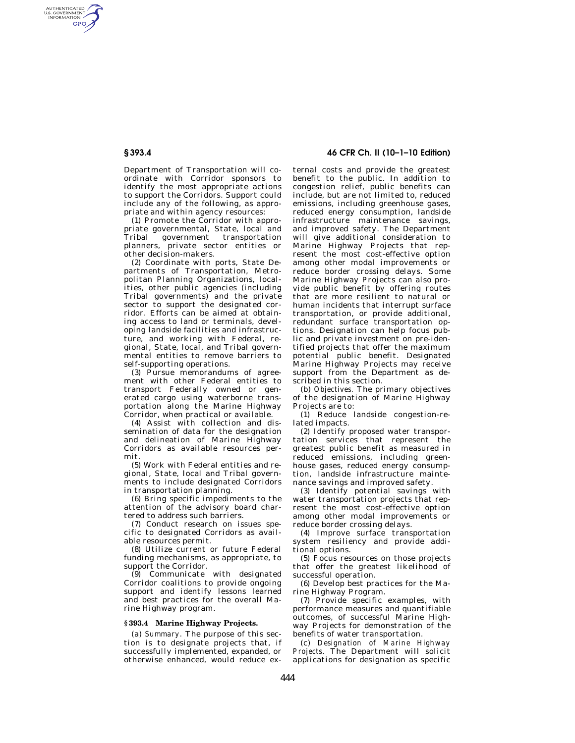AUTHENTICATED<br>U.S. GOVERNMENT<br>INFORMATION **GPO** 

> Department of Transportation will coordinate with Corridor sponsors to identify the most appropriate actions to support the Corridors. Support could include any of the following, as appropriate and within agency resources:

> (1) Promote the Corridor with appropriate governmental, State, local and<br>Tribal government transportation Tribal government transportation planners, private sector entities or other decision-makers.

> (2) Coordinate with ports, State Departments of Transportation, Metropolitan Planning Organizations, localities, other public agencies (including Tribal governments) and the private sector to support the designated corridor. Efforts can be aimed at obtaining access to land or terminals, developing landside facilities and infrastructure, and working with Federal, regional, State, local, and Tribal governmental entities to remove barriers to self-supporting operations.

> (3) Pursue memorandums of agreement with other Federal entities to transport Federally owned or generated cargo using waterborne transportation along the Marine Highway Corridor, when practical or available.

> (4) Assist with collection and dissemination of data for the designation and delineation of Marine Highway Corridors as available resources permit.

> (5) Work with Federal entities and regional, State, local and Tribal governments to include designated Corridors in transportation planning.

> (6) Bring specific impediments to the attention of the advisory board chartered to address such barriers.

> (7) Conduct research on issues specific to designated Corridors as available resources permit.

> (8) Utilize current or future Federal funding mechanisms, as appropriate, to support the Corridor.

> (9) Communicate with designated Corridor coalitions to provide ongoing support and identify lessons learned and best practices for the overall Marine Highway program.

#### **§ 393.4 Marine Highway Projects.**

(a) *Summary.* The purpose of this section is to designate projects that, if successfully implemented, expanded, or otherwise enhanced, would reduce ex-

**§ 393.4 46 CFR Ch. II (10–1–10 Edition)** 

ternal costs and provide the greatest benefit to the public. In addition to congestion relief, public benefits can include, but are not limited to, reduced emissions, including greenhouse gases, reduced energy consumption, landside infrastructure maintenance savings, and improved safety. The Department will give additional consideration to Marine Highway Projects that represent the most cost-effective option among other modal improvements or reduce border crossing delays. Some Marine Highway Projects can also provide public benefit by offering routes that are more resilient to natural or human incidents that interrupt surface transportation, or provide additional, redundant surface transportation options. Designation can help focus public and private investment on pre-identified projects that offer the maximum potential public benefit. Designated Marine Highway Projects may receive support from the Department as described in this section.

(b) *Objectives.* The primary objectives of the designation of Marine Highway Projects are to:

(1) Reduce landside congestion-related impacts.

(2) Identify proposed water transportation services that represent the greatest public benefit as measured in reduced emissions, including greenhouse gases, reduced energy consumption, landside infrastructure maintenance savings and improved safety.

(3) Identify potential savings with water transportation projects that represent the most cost-effective option among other modal improvements or reduce border crossing delays.

(4) Improve surface transportation system resiliency and provide additional options.

(5) Focus resources on those projects that offer the greatest likelihood of successful operation.

(6) Develop best practices for the Marine Highway Program.

(7) Provide specific examples, with performance measures and quantifiable outcomes, of successful Marine Highway Projects for demonstration of the benefits of water transportation.

(c) *Designation of Marine Highway Projects.* The Department will solicit applications for designation as specific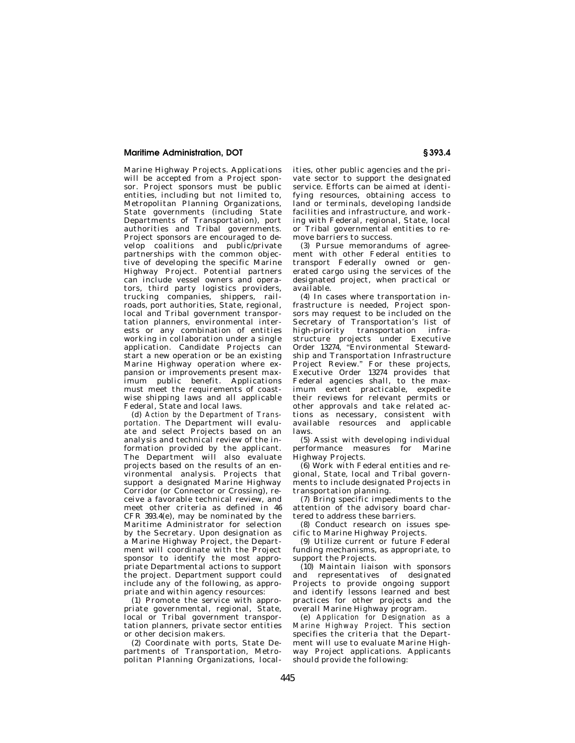## **Maritime Administration, DOT § 393.4**

Marine Highway Projects. Applications will be accepted from a Project sponsor. Project sponsors must be public entities, including but not limited to, Metropolitan Planning Organizations, State governments (including State Departments of Transportation), port authorities and Tribal governments. Project sponsors are encouraged to develop coalitions and public/private partnerships with the common objective of developing the specific Marine Highway Project. Potential partners can include vessel owners and operators, third party logistics providers, trucking companies, shippers, railroads, port authorities, State, regional, local and Tribal government transportation planners, environmental interests or any combination of entities working in collaboration under a single application. Candidate Projects can start a new operation or be an existing Marine Highway operation where expansion or improvements present maximum public benefit. Applications must meet the requirements of coastwise shipping laws and all applicable Federal, State and local laws.

(d) *Action by the Department of Transportation.* The Department will evaluate and select Projects based on an analysis and technical review of the information provided by the applicant. The Department will also evaluate projects based on the results of an environmental analysis. Projects that support a designated Marine Highway Corridor (or Connector or Crossing), receive a favorable technical review, and meet other criteria as defined in 46 CFR 393.4(e), may be nominated by the Maritime Administrator for selection by the Secretary. Upon designation as a Marine Highway Project, the Department will coordinate with the Project sponsor to identify the most appropriate Departmental actions to support the project. Department support could include any of the following, as appropriate and within agency resources:

(1) Promote the service with appropriate governmental, regional, State, local or Tribal government transportation planners, private sector entities or other decision makers.

(2) Coordinate with ports, State Departments of Transportation, Metropolitan Planning Organizations, localities, other public agencies and the private sector to support the designated service. Efforts can be aimed at identifying resources, obtaining access to land or terminals, developing landside facilities and infrastructure, and working with Federal, regional, State, local or Tribal governmental entities to remove barriers to success.

(3) Pursue memorandums of agreement with other Federal entities to transport Federally owned or generated cargo using the services of the designated project, when practical or available.

(4) In cases where transportation infrastructure is needed, Project sponsors may request to be included on the Secretary of Transportation's list of high-priority transportation infrastructure projects under Executive Order 13274, ''Environmental Stewardship and Transportation Infrastructure Project Review." For these projects, Executive Order 13274 provides that Federal agencies shall, to the maximum extent practicable, expedite their reviews for relevant permits or other approvals and take related actions as necessary, consistent with available resources and applicable laws.

(5) Assist with developing individual performance measures for Marine Highway Projects.

(6) Work with Federal entities and regional, State, local and Tribal governments to include designated Projects in transportation planning.

(7) Bring specific impediments to the attention of the advisory board chartered to address these barriers.

(8) Conduct research on issues specific to Marine Highway Projects.

(9) Utilize current or future Federal funding mechanisms, as appropriate, to support the Projects.

(10) Maintain liaison with sponsors and representatives of designated Projects to provide ongoing support and identify lessons learned and best practices for other projects and the overall Marine Highway program.

(e) *Application for Designation as a Marine Highway Project.* This section specifies the criteria that the Department will use to evaluate Marine Highway Project applications. Applicants should provide the following: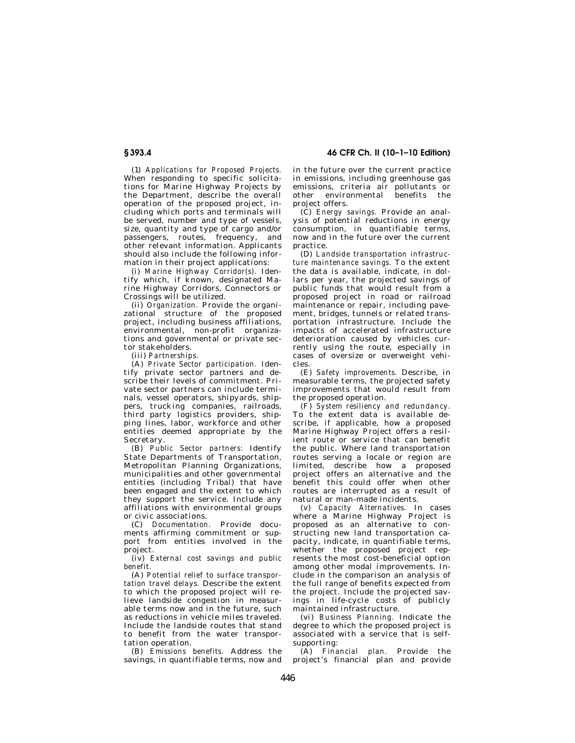**§ 393.4 46 CFR Ch. II (10–1–10 Edition)** 

(1) *Applications for Proposed Projects.*  When responding to specific solicitations for Marine Highway Projects by the Department, describe the overall operation of the proposed project, including which ports and terminals will be served, number and type of vessels, size, quantity and type of cargo and/or passengers, routes, frequency, and other relevant information. Applicants should also include the following information in their project applications:

(i) *Marine Highway Corridor(s).* Identify which, if known, designated Marine Highway Corridors, Connectors or Crossings will be utilized.

(ii) *Organization.* Provide the organizational structure of the proposed project, including business affiliations, environmental, non-profit organizations and governmental or private sector stakeholders.

(iii) *Partnerships.* 

(A) *Private Sector participation.* Identify private sector partners and describe their levels of commitment. Private sector partners can include terminals, vessel operators, shipyards, shippers, trucking companies, railroads, third party logistics providers, shipping lines, labor, workforce and other entities deemed appropriate by the Secretary.

(B) *Public Sector partners:* Identify State Departments of Transportation, Metropolitan Planning Organizations, municipalities and other governmental entities (including Tribal) that have been engaged and the extent to which they support the service. Include any affiliations with environmental groups or civic associations.

(C) *Documentation.* Provide documents affirming commitment or support from entities involved in the project.

(iv) *External cost savings and public benefit.* 

(A) *Potential relief to surface transportation travel delays.* Describe the extent to which the proposed project will relieve landside congestion in measurable terms now and in the future, such as reductions in vehicle miles traveled. Include the landside routes that stand to benefit from the water transportation operation.

(B) *Emissions benefits.* Address the savings, in quantifiable terms, now and in the future over the current practice in emissions, including greenhouse gas emissions, criteria air pollutants or other environmental benefits the project offers.

(C) *Energy savings.* Provide an analysis of potential reductions in energy consumption, in quantifiable terms, now and in the future over the current practice.

(D) *Landside transportation infrastructure maintenance savings.* To the extent the data is available, indicate, in dollars per year, the projected savings of public funds that would result from a proposed project in road or railroad maintenance or repair, including pavement, bridges, tunnels or related transportation infrastructure. Include the impacts of accelerated infrastructure deterioration caused by vehicles currently using the route, especially in cases of oversize or overweight vehicles.

(E) *Safety improvements.* Describe, in measurable terms, the projected safety improvements that would result from the proposed operation.

(F) *System resiliency and redundancy.*  To the extent data is available describe, if applicable, how a proposed Marine Highway Project offers a resilient route or service that can benefit the public. Where land transportation routes serving a locale or region are limited, describe how a proposed project offers an alternative and the benefit this could offer when other routes are interrupted as a result of natural or man-made incidents.

(v) *Capacity Alternatives.* In cases where a Marine Highway Project is proposed as an alternative to constructing new land transportation capacity, indicate, in quantifiable terms, whether the proposed project represents the most cost-beneficial option among other modal improvements. Include in the comparison an analysis of the full range of benefits expected from the project. Include the projected savings in life-cycle costs of publicly maintained infrastructure.

(vi) *Business Planning.* Indicate the degree to which the proposed project is associated with a service that is selfsupporting:

(A) *Financial plan.* Provide the project's financial plan and provide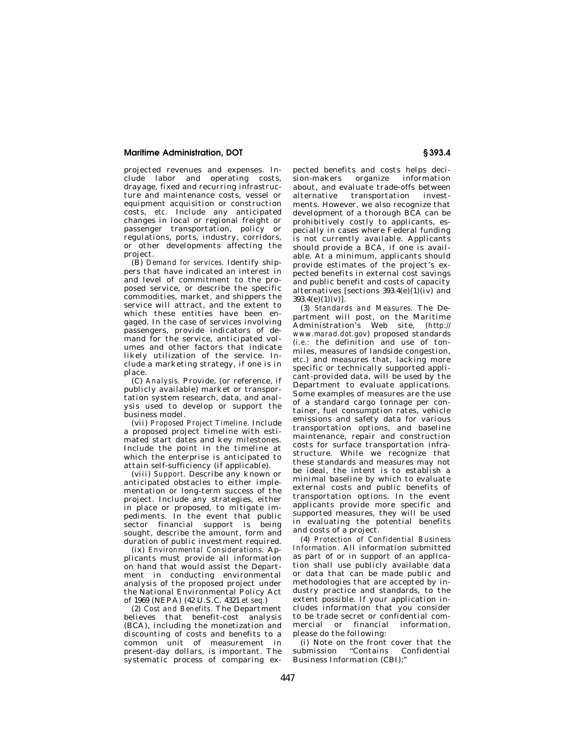## **Maritime Administration, DOT § 393.4**

projected revenues and expenses. Include labor and operating costs, drayage, fixed and recurring infrastructure and maintenance costs, vessel or equipment acquisition or construction costs, *etc.* Include any anticipated changes in local or regional freight or passenger transportation, policy or regulations, ports, industry, corridors, or other developments affecting the project.

(B) *Demand for services.* Identify shippers that have indicated an interest in and level of commitment to the proposed service, or describe the specific commodities, market, and shippers the service will attract, and the extent to which these entities have been engaged. In the case of services involving passengers, provide indicators of demand for the service, anticipated volumes and other factors that indicate likely utilization of the service. Include a marketing strategy, if one is in place.

(C) *Analysis.* Provide, (or reference, if publicly available) market or transportation system research, data, and analysis used to develop or support the business model.

(vii) *Proposed Project Timeline.* Include a proposed project timeline with estimated start dates and key milestones. Include the point in the timeline at which the enterprise is anticipated to attain self-sufficiency (if applicable).

(viii) *Support.* Describe any known or anticipated obstacles to either implementation or long-term success of the project. Include any strategies, either in place or proposed, to mitigate impediments. In the event that public sector financial support is being sought, describe the amount, form and duration of public investment required.

(ix) *Environmental Considerations.* Applicants must provide all information on hand that would assist the Department in conducting environmental analysis of the proposed project under the National Environmental Policy Act of 1969 (NEPA) (42 U.S.C. 4321 *et seq.*)

(2) *Cost and Benefits.* The Department believes that benefit-cost analysis (BCA), including the monetization and discounting of costs and benefits to a common unit of measurement in present-day dollars, is important. The systematic process of comparing ex-

pected benefits and costs helps decision-makers organize information about, and evaluate trade-offs between alternative transportation investments. However, we also recognize that development of a thorough BCA can be prohibitively costly to applicants, especially in cases where Federal funding is not currently available. Applicants should provide a BCA, if one is available. At a minimum, applicants should provide estimates of the project's expected benefits in external cost savings and public benefit and costs of capacity alternatives [sections 393.4(e)(1)(iv) and  $393.4(e)(1)(v)$ ].

(3) *Standards and Measures.* The Department will post, on the Maritime Administration's Web site, (*http:// www.marad.dot.gov*) proposed standards (*i.e.:* the definition and use of tonmiles, measures of landside congestion, *etc.*) and measures that, lacking more specific or technically supported applicant-provided data, will be used by the Department to evaluate applications. Some examples of measures are the use of a standard cargo tonnage per container, fuel consumption rates, vehicle emissions and safety data for various transportation options, and baseline maintenance, repair and construction costs for surface transportation infrastructure. While we recognize that these standards and measures may not be ideal, the intent is to establish a minimal baseline by which to evaluate external costs and public benefits of transportation options. In the event applicants provide more specific and supported measures, they will be used in evaluating the potential benefits and costs of a project.

(4) *Protection of Confidential Business Information.* All information submitted as part of or in support of an application shall use publicly available data or data that can be made public and methodologies that are accepted by industry practice and standards, to the extent possible. If your application includes information that you consider to be trade secret or confidential commercial or financial information, please do the following:

(i) Note on the front cover that the submission ''Contains Confidential Business Information (CBI);''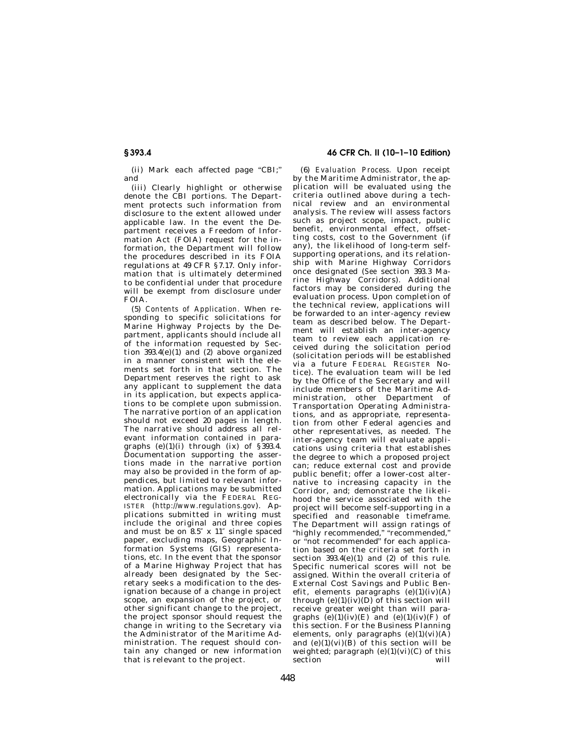(ii) Mark each affected page "CBI;" and

(iii) Clearly highlight or otherwise denote the CBI portions. The Department protects such information from disclosure to the extent allowed under applicable law. In the event the Department receives a Freedom of Information Act (FOIA) request for the information, the Department will follow the procedures described in its FOIA regulations at 49 CFR §7.17. Only information that is ultimately determined to be confidential under that procedure will be exempt from disclosure under FOIA.

(5) *Contents of Application.* When responding to specific solicitations for Marine Highway Projects by the Department, applicants should include all of the information requested by Section 393.4(e)(1) and (2) above organized in a manner consistent with the elements set forth in that section. The Department reserves the right to ask any applicant to supplement the data in its application, but expects applications to be complete upon submission. The narrative portion of an application should not exceed 20 pages in length. The narrative should address all relevant information contained in paragraphs  $(e)(1)(i)$  through  $(ix)$  of  $\S$ 393.4. Documentation supporting the assertions made in the narrative portion may also be provided in the form of appendices, but limited to relevant information. Applications may be submitted electronically via the FEDERAL REG-ISTER (*http://www.regulations.gov*). Applications submitted in writing must include the original and three copies and must be on 8.5″ x 11″ single spaced paper, excluding maps, Geographic Information Systems (GIS) representations, *etc.* In the event that the sponsor of a Marine Highway Project that has already been designated by the Secretary seeks a modification to the designation because of a change in project scope, an expansion of the project, or other significant change to the project, the project sponsor should request the change in writing to the Secretary via the Administrator of the Maritime Administration. The request should contain any changed or new information that is relevant to the project.

# **§ 393.4 46 CFR Ch. II (10–1–10 Edition)**

(6) *Evaluation Process.* Upon receipt by the Maritime Administrator, the application will be evaluated using the criteria outlined above during a technical review and an environmental analysis. The review will assess factors such as project scope, impact, public benefit, environmental effect, offsetting costs, cost to the Government (if any), the likelihood of long-term selfsupporting operations, and its relationship with Marine Highway Corridors once designated (*See* section 393.3 Marine Highway Corridors). Additional factors may be considered during the evaluation process. Upon completion of the technical review, applications will be forwarded to an inter-agency review team as described below. The Department will establish an inter-agency team to review each application received during the solicitation period (solicitation periods will be established via a future FEDERAL REGISTER Notice). The evaluation team will be led by the Office of the Secretary and will include members of the Maritime Administration, other Department of Transportation Operating Administrations, and as appropriate, representation from other Federal agencies and other representatives, as needed. The inter-agency team will evaluate applications using criteria that establishes the degree to which a proposed project can; reduce external cost and provide public benefit; offer a lower-cost alternative to increasing capacity in the Corridor, and; demonstrate the likelihood the service associated with the project will become self-supporting in a specified and reasonable timeframe. The Department will assign ratings of ''highly recommended,'' ''recommended,'' or "not recommended" for each application based on the criteria set forth in section  $393.4(e)(1)$  and  $(2)$  of this rule. Specific numerical scores will not be assigned. Within the overall criteria of External Cost Savings and Public Benefit, elements paragraphs  $(e)(1)(iv)(A)$ through  $(e)(1)(iv)(D)$  of this section will receive greater weight than will paragraphs  $\tilde{e}(1)(iv)(E)$  and  $(e)(1)(iv)(F)$  of this section. For the Business Planning elements, only paragraphs  $(e)(1)(vi)(A)$ and  $(e)(1)(vi)(B)$  of this section will be weighted; paragraph  $(e)(1)(vi)(C)$  of this section section